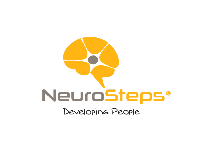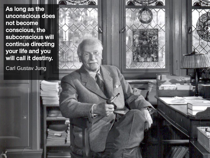As long as the<br>unconscious does not become conscious, the subconscious will continue directing your life and you y our modern your<br>will call it destiny will call it destiny.

Carl Gustav Jung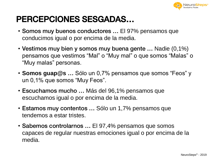

## **PERCEPCIONES SESGADAS...**

- PERCEPCIONES SESSENCES SES • Somos muy buenos conductores ... El 97% pensamos que<br>conducimos igual o por encima de la media conducimos igual o por encima de la media.
- Vestimos muy bien y somos muy buena gente … Nadie (0,1%) pensamos que vestimos "Mal" o "Muy mal" o que somos "Malas" o "Muy malas" personas.
- **Somos guap@s …** Sólo un 0,7% pensamos que somos "Feos" y un 0,1% que somos "Muy Feos".
- Escuchamos mucho … Más del 96,1% pensamos que escuchamos igual o por encima de la media.
- Estamos muy contentos … Sólo un 1,7% pensamos que tendemos a estar tristes.
- Sabemos controlarnos … El 97,4% pensamos que somos capaces de regular nuestras emociones igual o por encima de la media.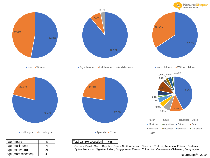

| Age (mean)          | 43 | Total sample population<br>685                                                                           |
|---------------------|----|----------------------------------------------------------------------------------------------------------|
| Age (maximum)       | 76 | German, Polish, Czech Republic, Swiss, North American, Canadian, Turkish, Armenian, Eritrean, Jordanian, |
| Age (mimimum)       |    | Syrian, Namibian, Nigerian, Indian, Singaporean, Peruan, Colombian, Venezolean, Chilenean, Paraguayan,   |
| Age (most repeated) | 30 | .<br>NeuroSteps <sup>©</sup> - 2                                                                         |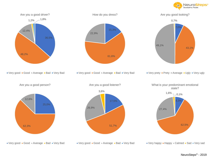



NeuroSteps© - 2019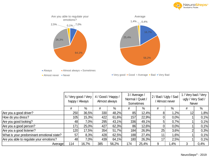



|                                           | 5 / Very good / Very<br>happy / Always |       | 4 / Good / Happy /<br>Almost always |       | 3 / Average /<br>Normal / Quiet /<br>Sometimes |       | 2 / Bad / Ugly / Sad<br>Almost never |      | 1 / Very bad / Very<br>ugly / Very Sad /<br><b>Never</b> |      |
|-------------------------------------------|----------------------------------------|-------|-------------------------------------|-------|------------------------------------------------|-------|--------------------------------------|------|----------------------------------------------------------|------|
|                                           | #                                      | %     | #                                   | %     |                                                | $\%$  | #                                    | %    | #                                                        | %    |
| Are you a good driver?                    | 250                                    | 36,5% | 330                                 | 48,2% | 85                                             | 12,4% |                                      | 1,2% |                                                          | 1,8% |
| How do you dress?                         | 105                                    | 15,3% | 422                                 | 61,6% | 157                                            | 22,9% |                                      | 0,0% |                                                          | 0,1% |
| Are you good looking?                     | 48                                     | 7,0%  | 295                                 | 43,1% | 336                                            | 49,1% |                                      | 0,7% |                                                          | 0,1% |
| Are you a good person?                    | 171                                    | 25,0% | 427                                 | 62,3% | 86l                                            | 12,6% |                                      | 0,0% |                                                          | 0,1% |
| Are you a good listener?                  | 120                                    | 17,5% | 354                                 | 51,7% | 184                                            | 26,9% | 25                                   | 3,6% |                                                          | 0,3% |
| What is your predominant emotional state? | 57                                     | 8,3%  | 428                                 | 62,5% | 188                                            | 27,4% | 11                                   | 1,6% |                                                          | 0,1% |
| Are you able to regulate your emotions?   | 48                                     | 7,0%  | 439                                 | 64,1% | <b>180</b>                                     | 26,3% | 17                                   | 2,5% |                                                          | 0,1% |
| Average                                   | 114                                    | 16,7% | 385                                 | 56,2% | 174                                            | 25,4% | 9                                    | ∣,4% |                                                          | 0,4% |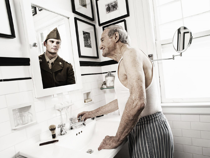